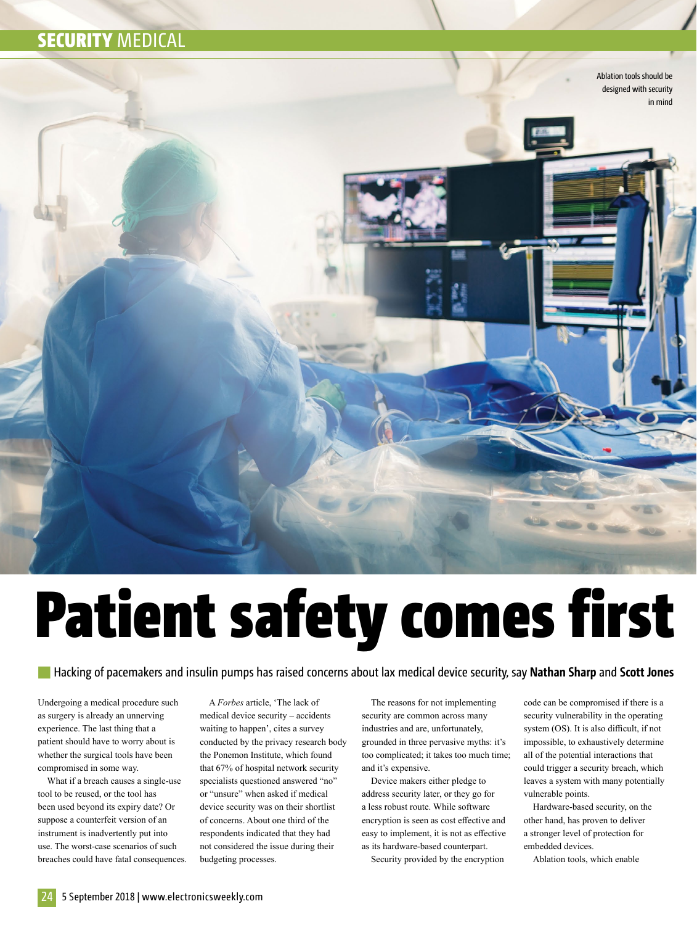## **SECURITY MEDICAL**



# Patient safety comes first

Hacking of pacemakers and insulin pumps has raised concerns about lax medical device security, say **Nathan Sharp** and **Scott Jones**

Undergoing a medical procedure such as surgery is already an unnerving experience. The last thing that a patient should have to worry about is whether the surgical tools have been compromised in some way.

What if a breach causes a single-use tool to be reused, or the tool has been used beyond its expiry date? Or suppose a counterfeit version of an instrument is inadvertently put into use. The worst-case scenarios of such breaches could have fatal consequences.

A *Forbes* article, 'The lack of medical device security – accidents waiting to happen', cites a survey conducted by the privacy research body the Ponemon Institute, which found that 67% of hospital network security specialists questioned answered "no" or "unsure" when asked if medical device security was on their shortlist of concerns. About one third of the respondents indicated that they had not considered the issue during their budgeting processes.

The reasons for not implementing security are common across many industries and are, unfortunately, grounded in three pervasive myths: it's too complicated; it takes too much time; and it's expensive.

Device makers either pledge to address security later, or they go for a less robust route. While software encryption is seen as cost effective and easy to implement, it is not as effective as its hardware-based counterpart.

Security provided by the encryption

code can be compromised if there is a security vulnerability in the operating system (OS). It is also difficult, if not impossible, to exhaustively determine all of the potential interactions that could trigger a security breach, which leaves a system with many potentially vulnerable points.

Hardware-based security, on the other hand, has proven to deliver a stronger level of protection for embedded devices.

Ablation tools, which enable